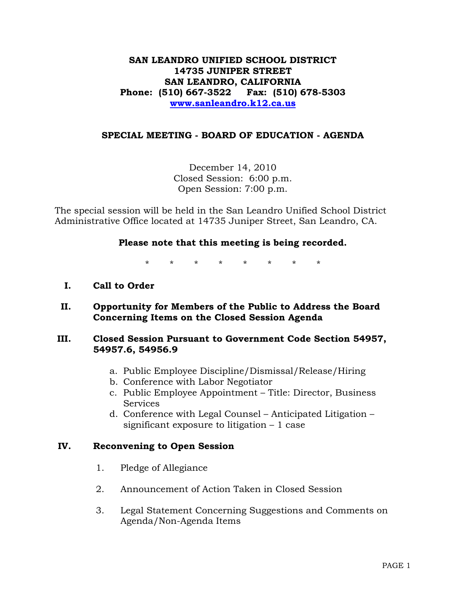## **SAN LEANDRO UNIFIED SCHOOL DISTRICT 14735 JUNIPER STREET SAN LEANDRO, CALIFORNIA Phone: (510) 667-3522 Fax: (510) 678-5303 [www.sanleandro.k12.ca.us](http://www.sanleandro.k12.ca.us/)**

## **SPECIAL MEETING - BOARD OF EDUCATION - AGENDA**

December 14, 2010 Closed Session: 6:00 p.m. Open Session: 7:00 p.m.

The special session will be held in the San Leandro Unified School District Administrative Office located at 14735 Juniper Street, San Leandro, CA.

## **Please note that this meeting is being recorded.**

\* \* \* \* \* \* \* \*

- **I. Call to Order**
- **II. Opportunity for Members of the Public to Address the Board Concerning Items on the Closed Session Agenda**

## **III. Closed Session Pursuant to Government Code Section 54957, 54957.6, 54956.9**

- a. Public Employee Discipline/Dismissal/Release/Hiring
- b. Conference with Labor Negotiator
- c. Public Employee Appointment Title: Director, Business **Services**
- d. Conference with Legal Counsel Anticipated Litigation significant exposure to litigation – 1 case

## **IV. Reconvening to Open Session**

- 1. Pledge of Allegiance
- 2. Announcement of Action Taken in Closed Session
- 3. Legal Statement Concerning Suggestions and Comments on Agenda/Non-Agenda Items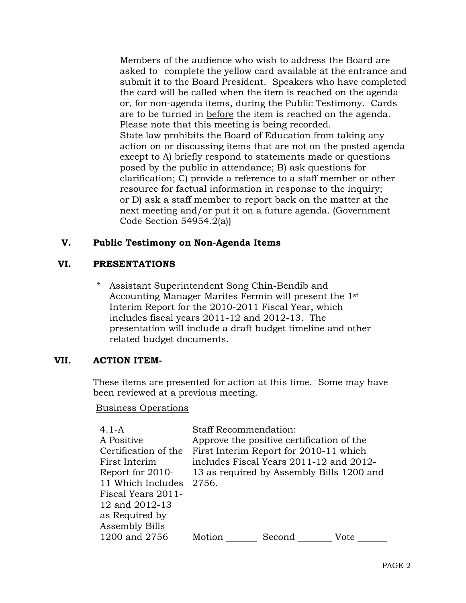Members of the audience who wish to address the Board are asked to complete the yellow card available at the entrance and submit it to the Board President. Speakers who have completed the card will be called when the item is reached on the agenda or, for non-agenda items, during the Public Testimony. Cards are to be turned in before the item is reached on the agenda. Please note that this meeting is being recorded. State law prohibits the Board of Education from taking any action on or discussing items that are not on the posted agenda except to A) briefly respond to statements made or questions posed by the public in attendance; B) ask questions for clarification; C) provide a reference to a staff member or other resource for factual information in response to the inquiry; or D) ask a staff member to report back on the matter at the next meeting and/or put it on a future agenda. (Government Code Section 54954.2(a))

## **V. Public Testimony on Non-Agenda Items**

## **VI. PRESENTATIONS**

Assistant Superintendent Song Chin-Bendib and Accounting Manager Marites Fermin will present the 1st Interim Report for the 2010-2011 Fiscal Year, which includes fiscal years 2011-12 and 2012-13. The presentation will include a draft budget timeline and other related budget documents.

#### **VII. ACTION ITEM-**

These items are presented for action at this time. Some may have been reviewed at a previous meeting.

#### Business Operations

| 4.1-A                   | <b>Staff Recommendation:</b>              |                                         |                                           |  |
|-------------------------|-------------------------------------------|-----------------------------------------|-------------------------------------------|--|
| A Positive              | Approve the positive certification of the |                                         |                                           |  |
| Certification of the    | First Interim Report for 2010-11 which    |                                         |                                           |  |
| First Interim           |                                           | includes Fiscal Years 2011-12 and 2012- |                                           |  |
| Report for 2010-        |                                           |                                         | 13 as required by Assembly Bills 1200 and |  |
| 11 Which Includes 2756. |                                           |                                         |                                           |  |
| Fiscal Years 2011-      |                                           |                                         |                                           |  |
| 12 and 2012-13          |                                           |                                         |                                           |  |
| as Required by          |                                           |                                         |                                           |  |
| Assembly Bills          |                                           |                                         |                                           |  |
| 1200 and 2756           | Motion                                    | Second                                  | Vote                                      |  |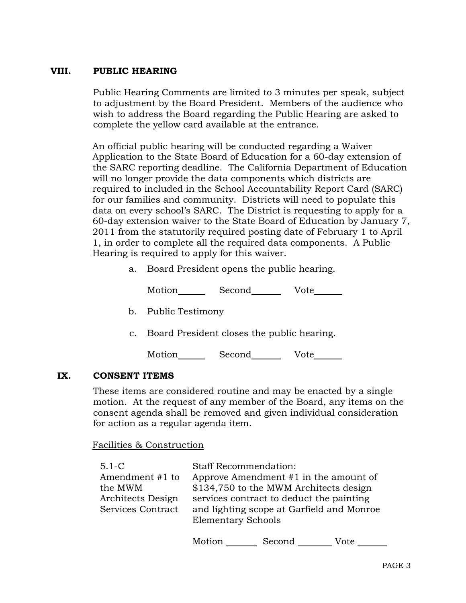# **VIII. PUBLIC HEARING**

Public Hearing Comments are limited to 3 minutes per speak, subject to adjustment by the Board President. Members of the audience who wish to address the Board regarding the Public Hearing are asked to complete the yellow card available at the entrance.

An official public hearing will be conducted regarding a Waiver Application to the State Board of Education for a 60-day extension of the SARC reporting deadline. The California Department of Education will no longer provide the data components which districts are required to included in the School Accountability Report Card (SARC) for our families and community. Districts will need to populate this data on every school's SARC. The District is requesting to apply for a 60-day extension waiver to the State Board of Education by January 7, 2011 from the statutorily required posting date of February 1 to April 1, in order to complete all the required data components. A Public Hearing is required to apply for this waiver.

a. Board President opens the public hearing.

Motion Second Vote

- b. Public Testimony
- c. Board President closes the public hearing.

Motion Second Vote

## **IX. CONSENT ITEMS**

These items are considered routine and may be enacted by a single motion. At the request of any member of the Board, any items on the consent agenda shall be removed and given individual consideration for action as a regular agenda item.

Facilities & Construction

| $5.1 - C$                                       | <b>Staff Recommendation:</b>                                                                                                |
|-------------------------------------------------|-----------------------------------------------------------------------------------------------------------------------------|
| Amendment #1 to<br>the MWM<br>Architects Design | Approve Amendment #1 in the amount of<br>\$134,750 to the MWM Architects design<br>services contract to deduct the painting |
| Services Contract                               | and lighting scope at Garfield and Monroe<br><b>Elementary Schools</b>                                                      |

Motion \_\_\_\_\_\_\_\_\_ Second \_\_\_\_\_\_\_\_\_\_ Vote \_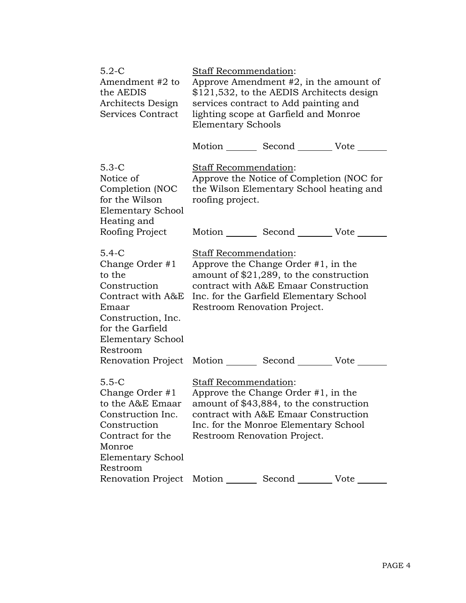| $5.2-C$<br>Amendment #2 to<br>the AEDIS<br>Architects Design<br>Services Contract                                                                                    |                                                                                                                                                                                                                                 | <b>Staff Recommendation:</b><br>Approve Amendment $#2$ , in the amount of<br>\$121,532, to the AEDIS Architects design<br>services contract to Add painting and<br>lighting scope at Garfield and Monroe<br><b>Elementary Schools</b> |                                                                                       |  |
|----------------------------------------------------------------------------------------------------------------------------------------------------------------------|---------------------------------------------------------------------------------------------------------------------------------------------------------------------------------------------------------------------------------|---------------------------------------------------------------------------------------------------------------------------------------------------------------------------------------------------------------------------------------|---------------------------------------------------------------------------------------|--|
|                                                                                                                                                                      |                                                                                                                                                                                                                                 |                                                                                                                                                                                                                                       | Motion _________ Second __________ Vote _                                             |  |
| $5.3-C$<br>Notice of<br>Completion (NOC<br>for the Wilson<br><b>Elementary School</b><br>Heating and                                                                 | Staff Recommendation:<br>roofing project.                                                                                                                                                                                       |                                                                                                                                                                                                                                       | Approve the Notice of Completion (NOC for<br>the Wilson Elementary School heating and |  |
| Roofing Project                                                                                                                                                      |                                                                                                                                                                                                                                 | Motion Second Vote                                                                                                                                                                                                                    |                                                                                       |  |
| $5.4-C$<br>Change Order #1<br>to the<br>Construction<br>Contract with A&E<br>Emaar<br>Construction, Inc.<br>for the Garfield<br><b>Elementary School</b><br>Restroom | Staff Recommendation:<br>Approve the Change Order $#1$ , in the<br>amount of $$21,289$ , to the construction<br>contract with A&E Emaar Construction<br>Inc. for the Garfield Elementary School<br>Restroom Renovation Project. |                                                                                                                                                                                                                                       |                                                                                       |  |
| Renovation Project Motion ________ Second ________ Vote                                                                                                              |                                                                                                                                                                                                                                 |                                                                                                                                                                                                                                       |                                                                                       |  |
| $5.5-C$<br>Change Order #1<br>to the A&E Emaar<br>Construction Inc.<br>Construction<br>Contract for the<br>Monroe<br>Elementary School<br>Restroom                   | Staff Recommendation:<br>Approve the Change Order $#1$ , in the<br>amount of \$43,884, to the construction<br>contract with A&E Emaar Construction<br>Inc. for the Monroe Elementary School<br>Restroom Renovation Project.     |                                                                                                                                                                                                                                       |                                                                                       |  |
| Renovation Project                                                                                                                                                   | Motion                                                                                                                                                                                                                          | Second                                                                                                                                                                                                                                | Vote                                                                                  |  |